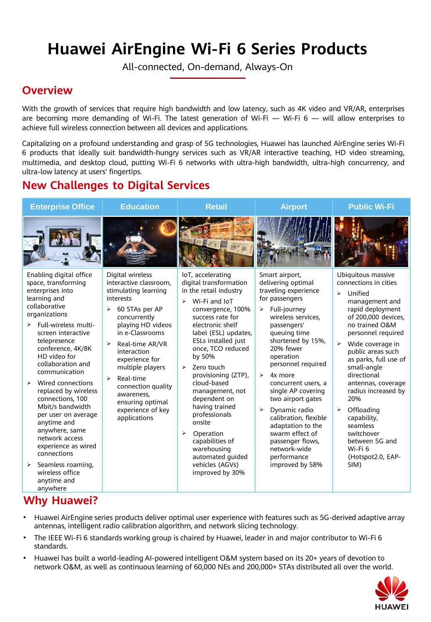# **Huawei AirEngine Wi-Fi 6 Series Products**

All-connected, On-demand, Always-On

## **Overview**

With the growth of services that require high bandwidth and low latency, such as 4K video and VR/AR, enterprises are becoming more demanding of Wi-Fi. The latest generation of Wi-Fi  $-$  Wi-Fi 6  $-$  will allow enterprises to achieve full wireless connection between all devices and applications.

Capitalizing on a profound understanding and grasp of 5G technologies, Huawei has launched AirEngine series Wi-Fi 6 products that ideally suit bandwidth-hungry services such as VR/AR interactive teaching, HD video streaming, multimedia, and desktop cloud, putting Wi-Fi 6 networks with ultra-high bandwidth, ultra-high concurrency, and ultra-low latency at users' fingertips.

# **New Challenges to Digital Services**

| <b>Enterprise Office</b>                                                                                                                                                                                                                                                                                                                                                                                                                                                                                                                                                 | <b>Education</b>                                                                                                                                                                                                                                                                                                                                                               | <b>Retail</b>                                                                                                                                                                                                                                                                                                                                                                                                                                                                                                                         | <b>Airport</b>                                                                                                                                                                                                                                                                                                                                                                                                                                                                                                       | <b>Public Wi-Fi</b>                                                                                                                                                                                                                                                                                                                                                                                                                                                                                         |
|--------------------------------------------------------------------------------------------------------------------------------------------------------------------------------------------------------------------------------------------------------------------------------------------------------------------------------------------------------------------------------------------------------------------------------------------------------------------------------------------------------------------------------------------------------------------------|--------------------------------------------------------------------------------------------------------------------------------------------------------------------------------------------------------------------------------------------------------------------------------------------------------------------------------------------------------------------------------|---------------------------------------------------------------------------------------------------------------------------------------------------------------------------------------------------------------------------------------------------------------------------------------------------------------------------------------------------------------------------------------------------------------------------------------------------------------------------------------------------------------------------------------|----------------------------------------------------------------------------------------------------------------------------------------------------------------------------------------------------------------------------------------------------------------------------------------------------------------------------------------------------------------------------------------------------------------------------------------------------------------------------------------------------------------------|-------------------------------------------------------------------------------------------------------------------------------------------------------------------------------------------------------------------------------------------------------------------------------------------------------------------------------------------------------------------------------------------------------------------------------------------------------------------------------------------------------------|
|                                                                                                                                                                                                                                                                                                                                                                                                                                                                                                                                                                          |                                                                                                                                                                                                                                                                                                                                                                                |                                                                                                                                                                                                                                                                                                                                                                                                                                                                                                                                       |                                                                                                                                                                                                                                                                                                                                                                                                                                                                                                                      |                                                                                                                                                                                                                                                                                                                                                                                                                                                                                                             |
| Enabling digital office<br>space, transforming<br>enterprises into<br>learning and<br>collaborative<br>organizations<br>Full-wireless multi-<br>➤<br>screen interactive<br>telepresence<br>conference, 4K/8K<br>HD video for<br>collaboration and<br>communication<br>Wired connections<br>⋗<br>replaced by wireless<br>connections, 100<br>Mbit/s bandwidth<br>per user on average<br>anytime and<br>anywhere, same<br>network access<br>experience as wired<br>connections<br>Seamless roaming,<br>$\blacktriangleright$<br>wireless office<br>anytime and<br>anywhere | Digital wireless<br>interactive classroom,<br>stimulating learning<br>interests<br>$\blacktriangleright$<br>60 STAs per AP<br>concurrently<br>playing HD videos<br>in e-Classrooms<br>Real-time AR/VR<br>⋗<br>interaction<br>experience for<br>multiple players<br>Real-time<br>⋗<br>connection quality<br>awareness,<br>ensuring optimal<br>experience of key<br>applications | IoT, accelerating<br>digital transformation<br>in the retail industry<br>Wi-Fi and IoT<br>$\blacktriangleright$<br>convergence, 100%<br>success rate for<br>electronic shelf<br>label (ESL) updates,<br>ESLs installed just<br>once, TCO reduced<br>by 50%<br>Zero touch<br>$\blacktriangleright$<br>provisioning (ZTP),<br>cloud-based<br>management, not<br>dependent on<br>having trained<br>professionals<br>onsite<br>⋗<br>Operation<br>capabilities of<br>warehousing<br>automated guided<br>vehicles (AGVs)<br>improved by 30% | Smart airport,<br>delivering optimal<br>traveling experience<br>for passengers<br>Full-journey<br>$\blacktriangleright$<br>wireless services.<br>passengers'<br>queuing time<br>shortened by 15%,<br>20% fewer<br>operation<br>personnel required<br>$\blacktriangleright$<br>4x more<br>concurrent users, a<br>single AP covering<br>two airport gates<br>➤<br>Dynamic radio<br>calibration, flexible<br>adaptation to the<br>swarm effect of<br>passenger flows,<br>network-wide<br>performance<br>improved by 58% | Ubiquitous massive<br>connections in cities<br>$\blacktriangleright$<br>Unified<br>management and<br>rapid deployment<br>of 200,000 devices,<br>no trained O&M<br>personnel required<br>$\blacktriangleright$<br>Wide coverage in<br>public areas such<br>as parks, full use of<br>small-angle<br>directional<br>antennas, coverage<br>radius increased by<br>20%<br>Offloading<br>$\blacktriangleright$<br>capability,<br>seamless<br>switchover<br>between 5G and<br>Wi-Fi 6<br>(Hotspot2.0, EAP-<br>SIM) |

### **Why Huawei?**

- Huawei AirEngine series products deliver optimal user experience with features such as 5G-derived adaptive array antennas, intelligent radio calibration algorithm, and network slicing technology.
- The IEEE Wi-Fi 6 standards working group is chaired by Huawei, leader in and major contributor to Wi-Fi 6 standards.
- Huawei has built a world-leading AI-powered intelligent O&M system based on its 20+ years of devotion to network O&M, as well as continuous learning of 60,000 NEs and 200,000+ STAs distributed all over the world.